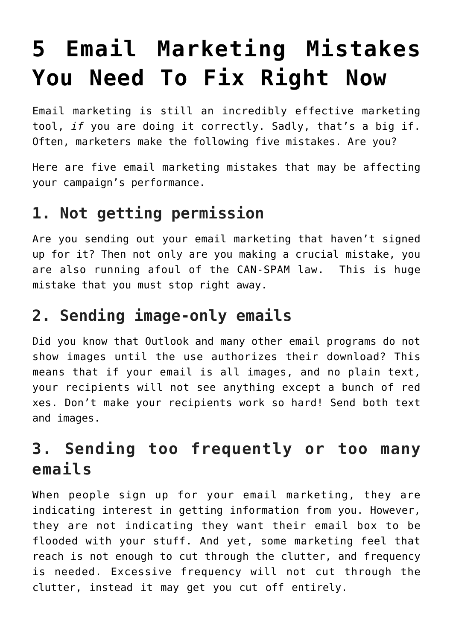# **[5 Email Marketing Mistakes](https://deborahbrody.com/2017/01/5-email-marketing-mistakes-you-need-to-fix-right-now/) [You Need To Fix Right Now](https://deborahbrody.com/2017/01/5-email-marketing-mistakes-you-need-to-fix-right-now/)**

Email marketing is still an incredibly effective marketing tool, *if* you are doing it correctly. Sadly, that's a big if. Often, marketers make the following five mistakes. Are you?

Here are five email marketing mistakes that may be affecting your campaign's performance.

### **1. Not getting permission**

Are you sending out your email marketing that haven't signed up for it? Then not only are you making a crucial mistake, you are also running afoul of the CAN-SPAM law. This is huge mistake that you must stop right away.

#### **2. Sending image-only emails**

Did you know that Outlook and many other email programs do not show images until the use authorizes their download? This means that if your email is all images, and no plain text, your recipients will not see anything except a bunch of red xes. Don't make your recipients work so hard! Send both text and images.

# **3. Sending too frequently or too many emails**

When people sign up for your email marketing, they are indicating interest in getting information from you. However, they are not indicating they want their email box to be flooded with your stuff. And yet, some marketing feel that reach is not enough to cut through the clutter, and frequency is needed. Excessive frequency will not cut through the clutter, instead it may get you cut off entirely.